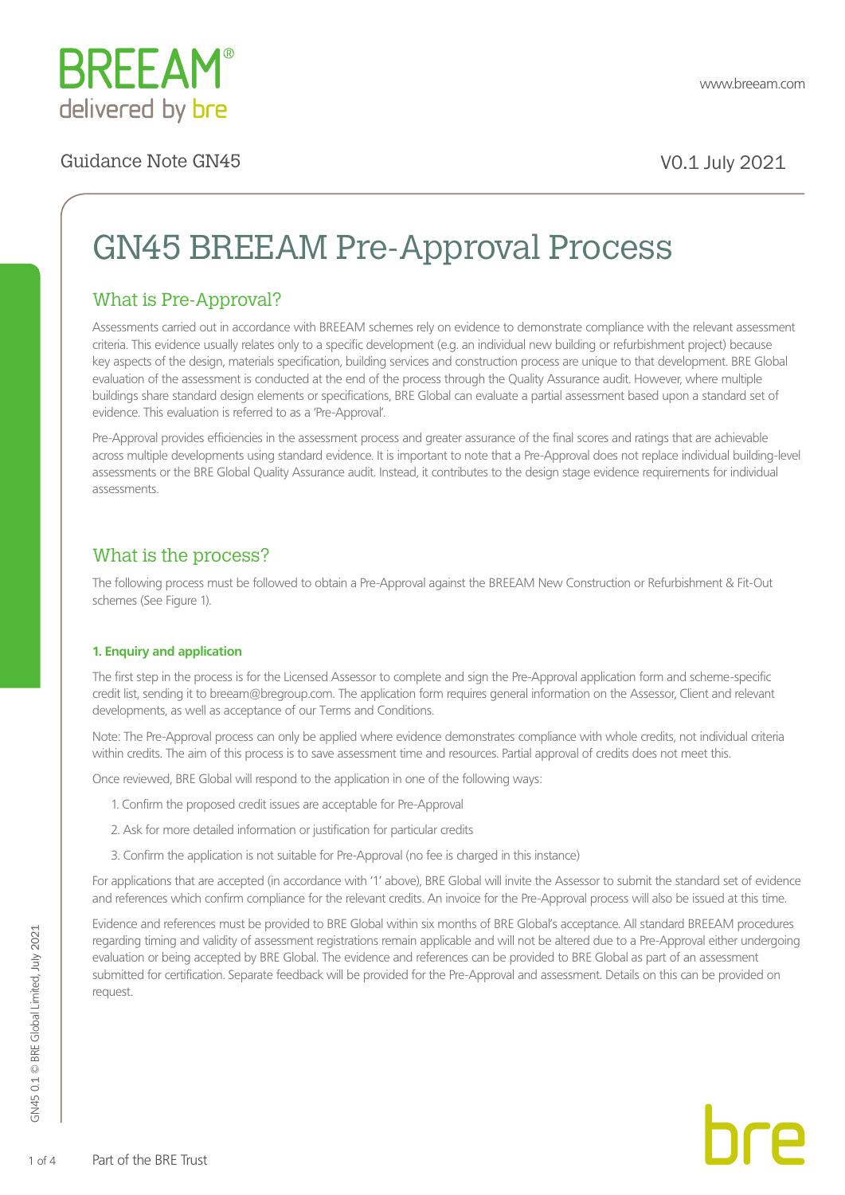

# GN45 BREEAM Pre-Approval Process

### What is Pre-Approval?

Assessments carried out in accordance with BREEAM schemes rely on evidence to demonstrate compliance with the relevant assessment criteria. This evidence usually relates only to a specific development (e.g. an individual new building or refurbishment project) because key aspects of the design, materials specification, building services and construction process are unique to that development. BRE Global evaluation of the assessment is conducted at the end of the process through the Quality Assurance audit. However, where multiple buildings share standard design elements or specifications, BRE Global can evaluate a partial assessment based upon a standard set of evidence. This evaluation is referred to as a 'Pre-Approval'.

Pre-Approval provides efficiencies in the assessment process and greater assurance of the final scores and ratings that are achievable across multiple developments using standard evidence. It is important to note that a Pre-Approval does not replace individual building-level assessments or the BRE Global Quality Assurance audit. Instead, it contributes to the design stage evidence requirements for individual assessments.

### What is the process?

The following process must be followed to obtain a Pre-Approval against the BREEAM New Construction or Refurbishment & Fit-Out schemes (See Figure 1).

### **1. Enquiry and application**

The first step in the process is for the Licensed Assessor to complete and sign the Pre-Approval application form and scheme-specific credit list, sending it to breeam@bregroup.com. The application form requires general information on the Assessor, Client and relevant developments, as well as acceptance of our Terms and Conditions.

Note: The Pre-Approval process can only be applied where evidence demonstrates compliance with whole credits, not individual criteria within credits. The aim of this process is to save assessment time and resources. Partial approval of credits does not meet this.

Once reviewed, BRE Global will respond to the application in one of the following ways:

- 1. Confirm the proposed credit issues are acceptable for Pre-Approval
- 2. Ask for more detailed information or justification for particular credits
- 3. Confirm the application is not suitable for Pre-Approval (no fee is charged in this instance)

For applications that are accepted (in accordance with '1' above), BRE Global will invite the Assessor to submit the standard set of evidence and references which confirm compliance for the relevant credits. An invoice for the Pre-Approval process will also be issued at this time.

Evidence and references must be provided to BRE Global within six months of BRE Global's acceptance. All standard BREEAM procedures regarding timing and validity of assessment registrations remain applicable and will not be altered due to a Pre-Approval either undergoing evaluation or being accepted by BRE Global. The evidence and references can be provided to BRE Global as part of an assessment submitted for certification. Separate feedback will be provided for the Pre-Approval and assessment. Details on this can be provided on request.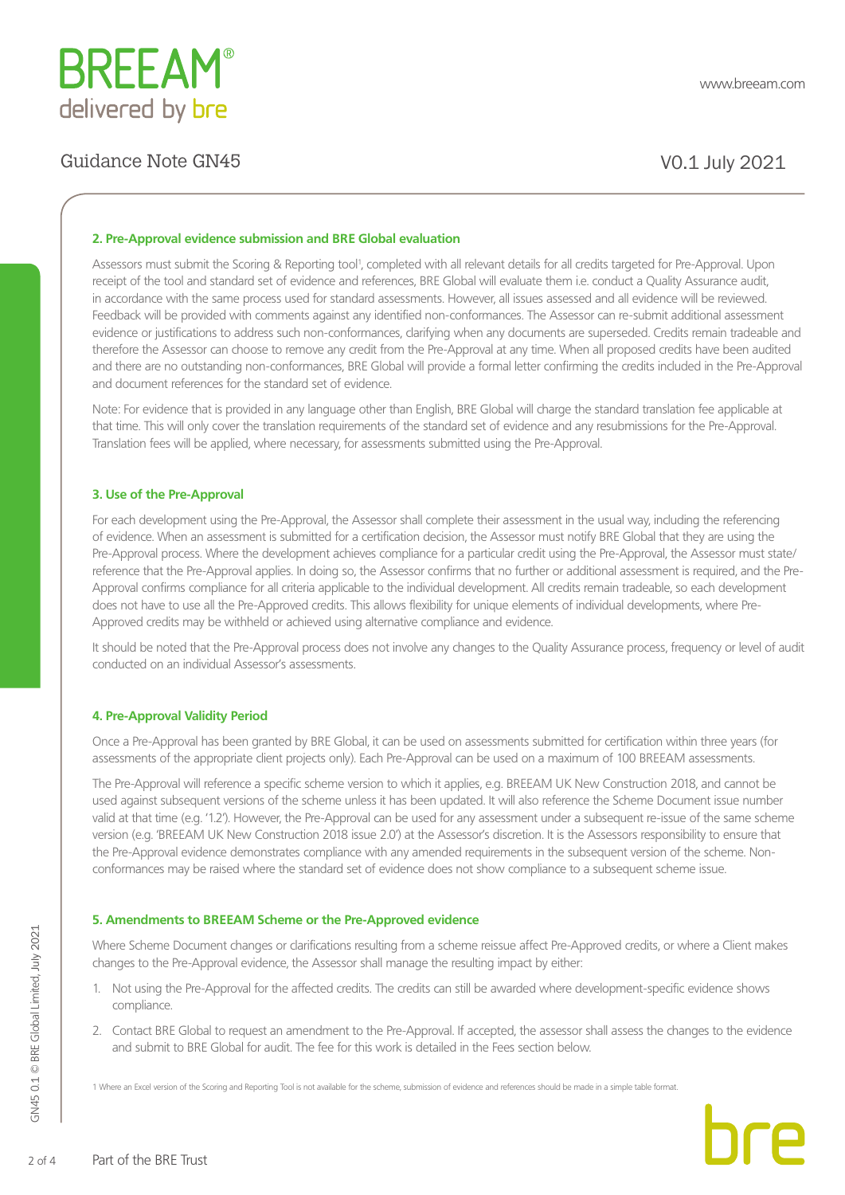

### Guidance Note GN45 V0.1 July 2021

### **2. Pre-Approval evidence submission and BRE Global evaluation**

Assessors must submit the Scoring & Reporting tool<sup>1</sup>, completed with all relevant details for all credits targeted for Pre-Approval. Upon receipt of the tool and standard set of evidence and references, BRE Global will evaluate them i.e. conduct a Quality Assurance audit, in accordance with the same process used for standard assessments. However, all issues assessed and all evidence will be reviewed. Feedback will be provided with comments against any identified non-conformances. The Assessor can re-submit additional assessment evidence or justifications to address such non-conformances, clarifying when any documents are superseded. Credits remain tradeable and therefore the Assessor can choose to remove any credit from the Pre-Approval at any time. When all proposed credits have been audited and there are no outstanding non-conformances, BRE Global will provide a formal letter confirming the credits included in the Pre-Approval and document references for the standard set of evidence.

Note: For evidence that is provided in any language other than English, BRE Global will charge the standard translation fee applicable at that time. This will only cover the translation requirements of the standard set of evidence and any resubmissions for the Pre-Approval. Translation fees will be applied, where necessary, for assessments submitted using the Pre-Approval.

### **3. Use of the Pre-Approval**

For each development using the Pre-Approval, the Assessor shall complete their assessment in the usual way, including the referencing of evidence. When an assessment is submitted for a certification decision, the Assessor must notify BRE Global that they are using the Pre-Approval process. Where the development achieves compliance for a particular credit using the Pre-Approval, the Assessor must state/ reference that the Pre-Approval applies. In doing so, the Assessor confirms that no further or additional assessment is required, and the Pre-Approval confirms compliance for all criteria applicable to the individual development. All credits remain tradeable, so each development does not have to use all the Pre-Approved credits. This allows flexibility for unique elements of individual developments, where Pre-Approved credits may be withheld or achieved using alternative compliance and evidence.

It should be noted that the Pre-Approval process does not involve any changes to the Quality Assurance process, frequency or level of audit conducted on an individual Assessor's assessments.

### **4. Pre-Approval Validity Period**

Once a Pre-Approval has been granted by BRE Global, it can be used on assessments submitted for certification within three years (for assessments of the appropriate client projects only). Each Pre-Approval can be used on a maximum of 100 BREEAM assessments.

The Pre-Approval will reference a specific scheme version to which it applies, e.g. BREEAM UK New Construction 2018, and cannot be used against subsequent versions of the scheme unless it has been updated. It will also reference the Scheme Document issue number valid at that time (e.g. '1.2'). However, the Pre-Approval can be used for any assessment under a subsequent re-issue of the same scheme version (e.g. 'BREEAM UK New Construction 2018 issue 2.0') at the Assessor's discretion. It is the Assessors responsibility to ensure that the Pre-Approval evidence demonstrates compliance with any amended requirements in the subsequent version of the scheme. Nonconformances may be raised where the standard set of evidence does not show compliance to a subsequent scheme issue.

### **5. Amendments to BREEAM Scheme or the Pre-Approved evidence**

Where Scheme Document changes or clarifications resulting from a scheme reissue affect Pre-Approved credits, or where a Client makes changes to the Pre-Approval evidence, the Assessor shall manage the resulting impact by either:

- 1. Not using the Pre-Approval for the affected credits. The credits can still be awarded where development-specific evidence shows compliance.
- 2. Contact BRE Global to request an amendment to the Pre-Approval. If accepted, the assessor shall assess the changes to the evidence and submit to BRE Global for audit. The fee for this work is detailed in the Fees section below.

1 Where an Excel version of the Scoring and Reporting Tool is not available for the scheme, submission of evidence and references should be made in a simple table format.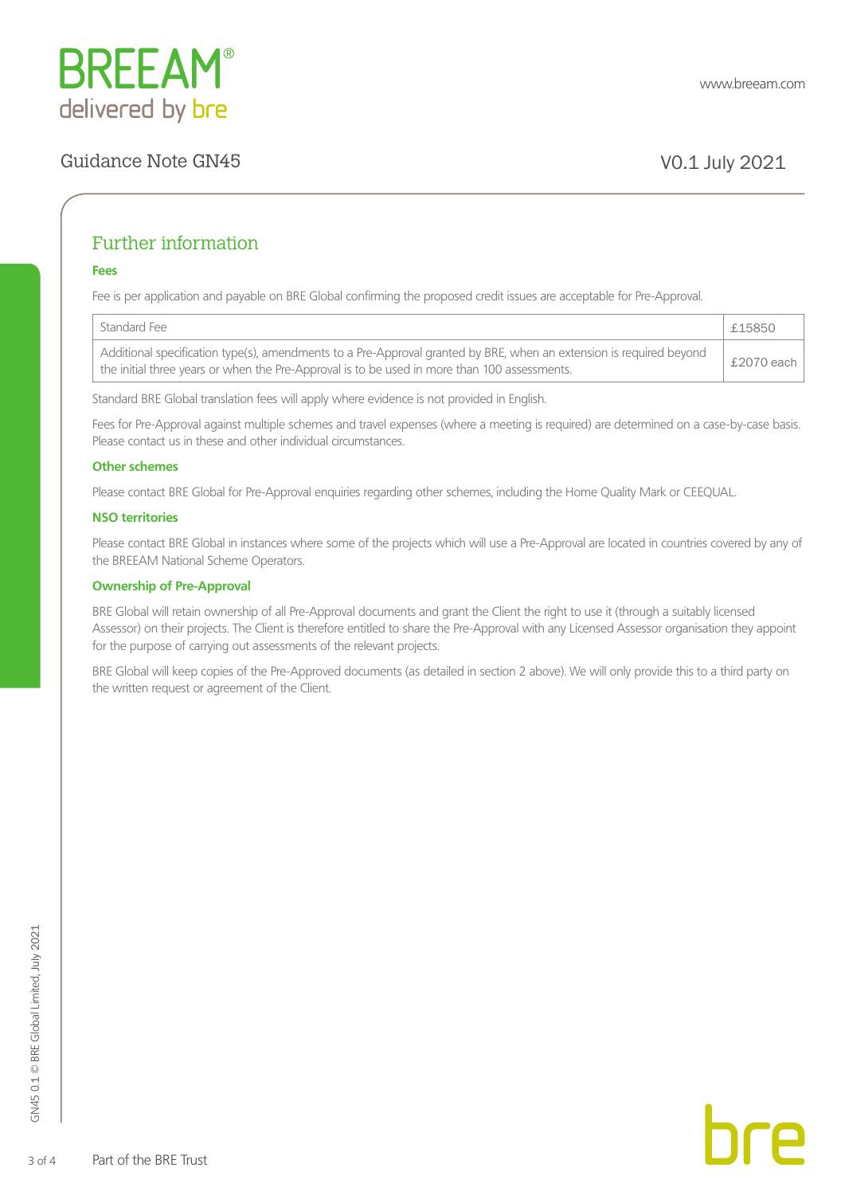

## Guidance Note GN45 V0.1 July 2021

### Further information

### **Fees**

Fee is per application and payable on BRE Global confirming the proposed credit issues are acceptable for Pre-Approval.

| Standard Fee                                                                                                                                                                                                        | £15850         |
|---------------------------------------------------------------------------------------------------------------------------------------------------------------------------------------------------------------------|----------------|
| Additional specification type(s), amendments to a Pre-Approval granted by BRE, when an extension is required beyond<br>the initial three years or when the Pre-Approval is to be used in more than 100 assessments. | £2070 each $ $ |

Standard BRE Global translation fees will apply where evidence is not provided in English.

Fees for Pre-Approval against multiple schemes and travel expenses (where a meeting is required) are determined on a case-by-case basis. Please contact us in these and other individual circumstances.

### **Other schemes**

Please contact BRE Global for Pre-Approval enquiries regarding other schemes, including the Home Quality Mark or CEEQUAL.

### **NSO territories**

Please contact BRE Global in instances where some of the projects which will use a Pre-Approval are located in countries covered by any of the BREEAM National Scheme Operators.

### **Ownership of Pre-Approval**

BRE Global will retain ownership of all Pre-Approval documents and grant the Client the right to use it (through a suitably licensed Assessor) on their projects. The Client is therefore entitled to share the Pre-Approval with any Licensed Assessor organisation they appoint for the purpose of carrying out assessments of the relevant projects.

BRE Global will keep copies of the Pre-Approved documents (as detailed in section 2 above). We will only provide this to a third party on the written request or agreement of the Client.